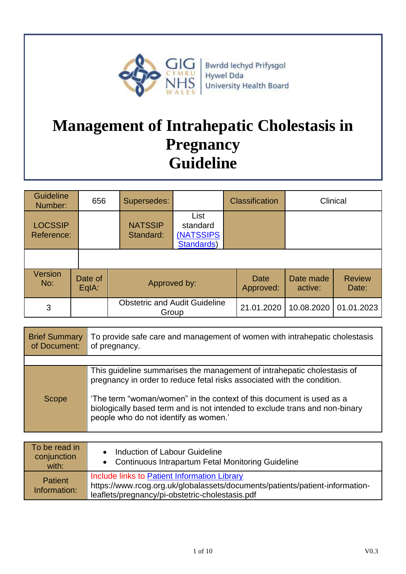

Bwrdd Iechyd Prifysgol Hywel Dda University Health Board

# **Management of Intrahepatic Cholestasis in Pregnancy Guideline**

| <b>Guideline</b><br>Number:  | 656              | Supersedes:                                   |                                                     | <b>Classification</b> | Clinical             |                        |
|------------------------------|------------------|-----------------------------------------------|-----------------------------------------------------|-----------------------|----------------------|------------------------|
| <b>LOCSSIP</b><br>Reference: |                  | <b>NATSSIP</b><br>Standard:                   | List<br>standard<br><b>(NATSSIPS)</b><br>Standards) |                       |                      |                        |
|                              |                  |                                               |                                                     |                       |                      |                        |
| <b>Version</b><br>No:        | Date of<br>EqIA: |                                               | Approved by:                                        |                       | Date made<br>active: | <b>Review</b><br>Date: |
| 3                            |                  | <b>Obstetric and Audit Guideline</b><br>Group |                                                     | 21.01.2020            | 10.08.2020           | 01.01.2023             |

| <b>Brief Summary</b><br>of Document: | To provide safe care and management of women with intrahepatic cholestasis<br>of pregnancy.                                                                                                  |
|--------------------------------------|----------------------------------------------------------------------------------------------------------------------------------------------------------------------------------------------|
|                                      |                                                                                                                                                                                              |
|                                      | This guideline summarises the management of intrahepatic cholestasis of<br>pregnancy in order to reduce fetal risks associated with the condition.                                           |
| <b>Scope</b>                         | 'The term "woman/women" in the context of this document is used as a<br>biologically based term and is not intended to exclude trans and non-binary<br>people who do not identify as women.' |

| To be read in<br>conjunction<br>with: | Induction of Labour Guideline<br>• Continuous Intrapartum Fetal Monitoring Guideline                                                                                            |
|---------------------------------------|---------------------------------------------------------------------------------------------------------------------------------------------------------------------------------|
| <b>Patient</b><br>Information:        | Include links to Patient Information Library<br>https://www.rcog.org.uk/globalassets/documents/patients/patient-information-<br>leaflets/pregnancy/pi-obstetric-cholestasis.pdf |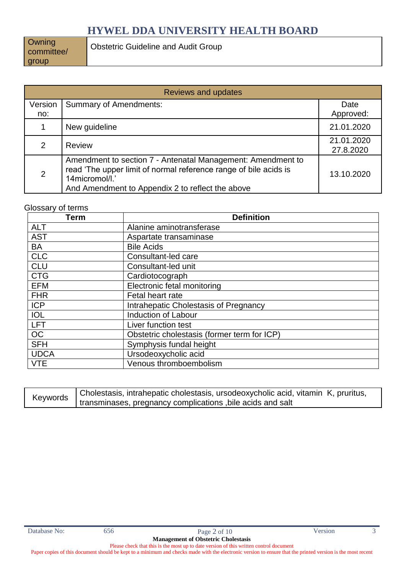**Owning** committee/ group

| <b>Reviews and updates</b> |                                                                                                                                                                                                       |                         |  |
|----------------------------|-------------------------------------------------------------------------------------------------------------------------------------------------------------------------------------------------------|-------------------------|--|
| Version<br>no:             | <b>Summary of Amendments:</b>                                                                                                                                                                         | Date<br>Approved:       |  |
|                            | New guideline                                                                                                                                                                                         | 21.01.2020              |  |
| 2                          | <b>Review</b>                                                                                                                                                                                         | 21.01.2020<br>27.8.2020 |  |
| $\overline{2}$             | Amendment to section 7 - Antenatal Management: Amendment to<br>read 'The upper limit of normal reference range of bile acids is<br>14micromol/l.'<br>And Amendment to Appendix 2 to reflect the above | 13.10.2020              |  |

#### Glossary of terms

| <b>Term</b> | <b>Definition</b>                           |
|-------------|---------------------------------------------|
| <b>ALT</b>  | Alanine aminotransferase                    |
| <b>AST</b>  | Aspartate transaminase                      |
| <b>BA</b>   | <b>Bile Acids</b>                           |
| <b>CLC</b>  | Consultant-led care                         |
| <b>CLU</b>  | Consultant-led unit                         |
| <b>CTG</b>  | Cardiotocograph                             |
| <b>EFM</b>  | <b>Electronic fetal monitoring</b>          |
| <b>FHR</b>  | Fetal heart rate                            |
| <b>ICP</b>  | Intrahepatic Cholestasis of Pregnancy       |
| <b>IOL</b>  | Induction of Labour                         |
| <b>LFT</b>  | Liver function test                         |
| OC          | Obstetric cholestasis (former term for ICP) |
| <b>SFH</b>  | Symphysis fundal height                     |
| <b>UDCA</b> | Ursodeoxycholic acid                        |
| <b>VTE</b>  | Venous thromboembolism                      |

|  | Cholestasis, intrahepatic cholestasis, ursodeoxycholic acid, vitamin K, pruritus, |
|--|-----------------------------------------------------------------------------------|
|  | Keywords   transminases, pregnancy complications , bile acids and salt            |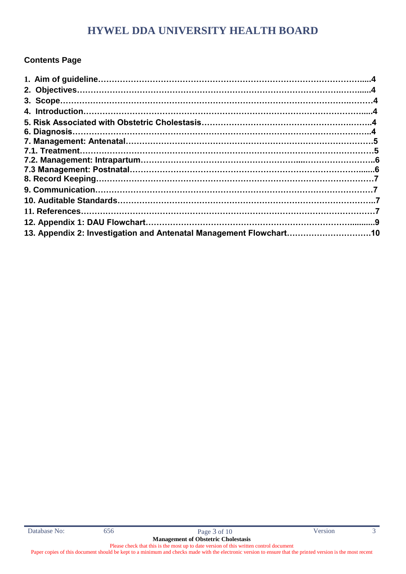### **Contents Page**

| 13. Appendix 2: Investigation and Antenatal Management Flowchart10 |  |
|--------------------------------------------------------------------|--|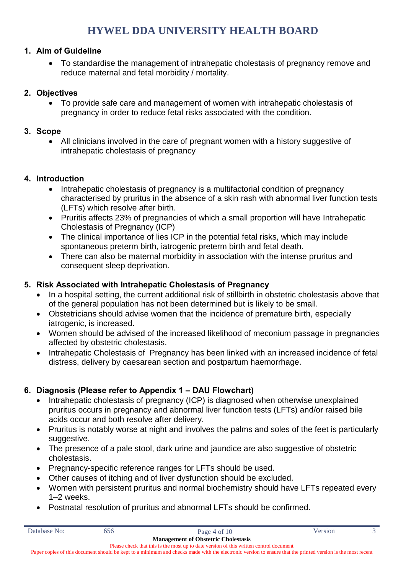### **1. Aim of Guideline**

 To standardise the management of intrahepatic cholestasis of pregnancy remove and reduce maternal and fetal morbidity / mortality.

### **2. Objectives**

 To provide safe care and management of women with intrahepatic cholestasis of pregnancy in order to reduce fetal risks associated with the condition.

#### **3. Scope**

 All clinicians involved in the care of pregnant women with a history suggestive of intrahepatic cholestasis of pregnancy

#### **4. Introduction**

- Intrahepatic cholestasis of pregnancy is a multifactorial condition of pregnancy characterised by pruritus in the absence of a skin rash with abnormal liver function tests (LFTs) which resolve after birth.
- Pruritis affects 23% of pregnancies of which a small proportion will have Intrahepatic Cholestasis of Pregnancy (ICP)
- The clinical importance of lies ICP in the potential fetal risks, which may include spontaneous preterm birth, iatrogenic preterm birth and fetal death.
- There can also be maternal morbidity in association with the intense pruritus and consequent sleep deprivation.

### **5. Risk Associated with Intrahepatic Cholestasis of Pregnancy**

- In a hospital setting, the current additional risk of stillbirth in obstetric cholestasis above that of the general population has not been determined but is likely to be small.
- Obstetricians should advise women that the incidence of premature birth, especially iatrogenic, is increased.
- Women should be advised of the increased likelihood of meconium passage in pregnancies affected by obstetric cholestasis.
- Intrahepatic Cholestasis of Pregnancy has been linked with an increased incidence of fetal distress, delivery by caesarean section and postpartum haemorrhage.

### **6. Diagnosis (Please refer to Appendix 1 – DAU Flowchart)**

- Intrahepatic cholestasis of pregnancy (ICP) is diagnosed when otherwise unexplained pruritus occurs in pregnancy and abnormal liver function tests (LFTs) and/or raised bile acids occur and both resolve after delivery.
- Pruritus is notably worse at night and involves the palms and soles of the feet is particularly suggestive.
- The presence of a pale stool, dark urine and jaundice are also suggestive of obstetric cholestasis.
- Pregnancy-specific reference ranges for LFTs should be used.
- Other causes of itching and of liver dysfunction should be excluded.
- Women with persistent pruritus and normal biochemistry should have LFTs repeated every 1–2 weeks.
- Postnatal resolution of pruritus and abnormal LFTs should be confirmed.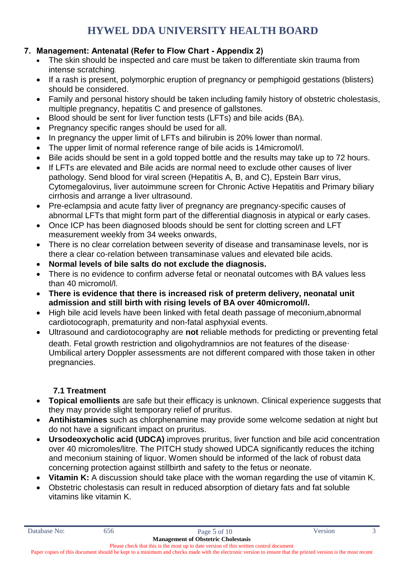### **7. Management: Antenatal (Refer to Flow Chart - Appendix 2)**

- The skin should be inspected and care must be taken to differentiate skin trauma from intense scratching.
- If a rash is present, polymorphic eruption of pregnancy or pemphigoid gestations (blisters) should be considered.
- Family and personal history should be taken including family history of obstetric cholestasis, multiple pregnancy, hepatitis C and presence of gallstones.
- Blood should be sent for liver function tests (LFTs) and bile acids (BA).
- Pregnancy specific ranges should be used for all.
- In pregnancy the upper limit of LFTs and bilirubin is 20% lower than normal.
- The upper limit of normal reference range of bile acids is 14micromol/l.
- Bile acids should be sent in a gold topped bottle and the results may take up to 72 hours.
- If LFTs are elevated and Bile acids are normal need to exclude other causes of liver pathology. Send blood for viral screen (Hepatitis A, B, and C), Epstein Barr virus, Cytomegalovirus, liver autoimmune screen for Chronic Active Hepatitis and Primary biliary cirrhosis and arrange a liver ultrasound.
- Pre-eclampsia and acute fatty liver of pregnancy are pregnancy-specific causes of abnormal LFTs that might form part of the differential diagnosis in atypical or early cases.
- Once ICP has been diagnosed bloods should be sent for clotting screen and LFT measurement weekly from 34 weeks onwards,
- There is no clear correlation between severity of disease and transaminase levels, nor is there a clear co-relation between transaminase values and elevated bile acids.
- **Normal levels of bile salts do not exclude the diagnosis.**
- There is no evidence to confirm adverse fetal or neonatal outcomes with BA values less than 40 micromol/l.
- **There is evidence that there is increased risk of preterm delivery, neonatal unit admission and still birth with rising levels of BA over 40micromol/l.**
- High bile acid levels have been linked with fetal death passage of meconium,abnormal cardiotocograph, prematurity and non-fatal asphyxial events.
- Ultrasound and cardiotocography are **not** reliable methods for predicting or preventing fetal death. Fetal growth restriction and oligohydramnios are not features of the disease. Umbilical artery Doppler assessments are not different compared with those taken in other pregnancies.

### **7.1 Treatment**

- **Topical emollients** are safe but their efficacy is unknown. Clinical experience suggests that they may provide slight temporary relief of pruritus.
- **Antihistamines** such as chlorphenamine may provide some welcome sedation at night but do not have a significant impact on pruritus.
- **Ursodeoxycholic acid (UDCA)** improves pruritus, liver function and bile acid concentration over 40 micromoles/litre. The PITCH study showed UDCA significantly reduces the itching and meconium staining of liquor. Women should be informed of the lack of robust data concerning protection against stillbirth and safety to the fetus or neonate.
- **Vitamin K:** A discussion should take place with the woman regarding the use of vitamin K.
- Obstetric cholestasis can result in reduced absorption of dietary fats and fat soluble vitamins like vitamin K.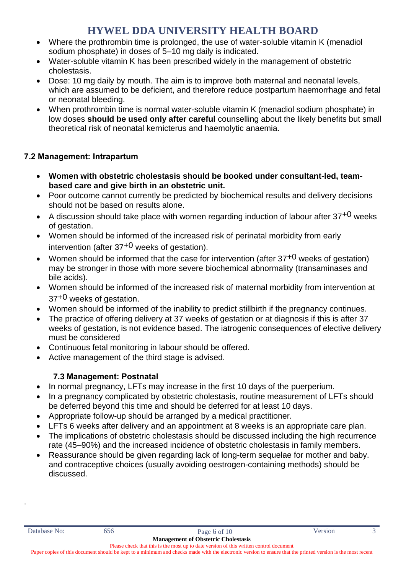- Where the prothrombin time is prolonged, the use of water-soluble vitamin K (menadiol sodium phosphate) in doses of 5–10 mg daily is indicated.
- Water-soluble vitamin K has been prescribed widely in the management of obstetric cholestasis.
- Dose: 10 mg daily by mouth. The aim is to improve both maternal and neonatal levels, which are assumed to be deficient, and therefore reduce postpartum haemorrhage and fetal or neonatal bleeding.
- When prothrombin time is normal water-soluble vitamin K (menadiol sodium phosphate) in low doses **should be used only after careful** counselling about the likely benefits but small theoretical risk of neonatal kernicterus and haemolytic anaemia.

### **7.2 Management: Intrapartum**

- **Women with obstetric cholestasis should be booked under consultant-led, teambased care and give birth in an obstetric unit.**
- Poor outcome cannot currently be predicted by biochemical results and delivery decisions should not be based on results alone.
- A discussion should take place with women regarding induction of labour after  $37^{+0}$  weeks of gestation.
- Women should be informed of the increased risk of perinatal morbidity from early intervention (after  $37^{+0}$  weeks of gestation).
- Women should be informed that the case for intervention (after  $37^{+0}$  weeks of gestation) may be stronger in those with more severe biochemical abnormality (transaminases and bile acids).
- Women should be informed of the increased risk of maternal morbidity from intervention at  $37^{+0}$  weeks of gestation.
- Women should be informed of the inability to predict stillbirth if the pregnancy continues.
- The practice of offering delivery at 37 weeks of gestation or at diagnosis if this is after 37 weeks of gestation, is not evidence based. The iatrogenic consequences of elective delivery must be considered
- Continuous fetal monitoring in labour should be offered.
- Active management of the third stage is advised.

### **7.3 Management: Postnatal**

- In normal pregnancy, LFTs may increase in the first 10 days of the puerperium.
- In a pregnancy complicated by obstetric cholestasis, routine measurement of LFTs should be deferred beyond this time and should be deferred for at least 10 days.
- Appropriate follow-up should be arranged by a medical practitioner.
- LFTs 6 weeks after delivery and an appointment at 8 weeks is an appropriate care plan.
- The implications of obstetric cholestasis should be discussed including the high recurrence rate (45–90%) and the increased incidence of obstetric cholestasis in family members.
- Reassurance should be given regarding lack of long-term sequelae for mother and baby. and contraceptive choices (usually avoiding oestrogen-containing methods) should be discussed.

.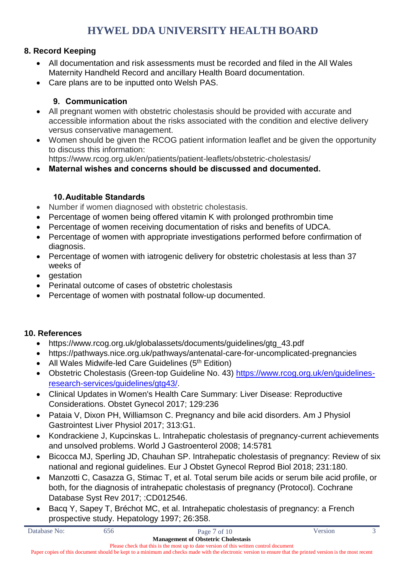### **8. Record Keeping**

- All documentation and risk assessments must be recorded and filed in the All Wales Maternity Handheld Record and ancillary Health Board documentation.
- Care plans are to be inputted onto Welsh PAS.

### **9. Communication**

- All pregnant women with obstetric cholestasis should be provided with accurate and accessible information about the risks associated with the condition and elective delivery versus conservative management.
- Women should be given the RCOG patient information leaflet and be given the opportunity to discuss this information: https://www.rcog.org.uk/en/patients/patient-leaflets/obstetric-cholestasis/

**Maternal wishes and concerns should be discussed and documented.** 

### **10.Auditable Standards**

- Number if women diagnosed with obstetric cholestasis.
- Percentage of women being offered vitamin K with prolonged prothrombin time
- Percentage of women receiving documentation of risks and benefits of UDCA.
- Percentage of women with appropriate investigations performed before confirmation of diagnosis.
- Percentage of women with iatrogenic delivery for obstetric cholestasis at less than 37 weeks of
- gestation
- Perinatal outcome of cases of obstetric cholestasis
- Percentage of women with postnatal follow-up documented.

### **10. References**

- https://www.rcog.org.uk/globalassets/documents/guidelines/gtg\_43.pdf
- https://pathways.nice.org.uk/pathways/antenatal-care-for-uncomplicated-pregnancies
- All Wales Midwife-led Care Guidelines  $(5<sup>th</sup> Edition)$
- Obstetric Cholestasis (Green-top Guideline No. 43) [https://www.rcog.org.uk/en/guidelines](https://www.rcog.org.uk/en/guidelines-research-services/guidelines/gtg43/)[research-services/guidelines/gtg43/.](https://www.rcog.org.uk/en/guidelines-research-services/guidelines/gtg43/)
- Clinical Updates in Women's Health Care Summary: Liver Disease: Reproductive Considerations. Obstet Gynecol 2017; 129:236
- Pataia V, Dixon PH, Williamson C. Pregnancy and bile acid disorders. Am J Physiol Gastrointest Liver Physiol 2017; 313:G1.
- Kondrackiene J, Kupcinskas L. Intrahepatic cholestasis of pregnancy-current achievements and unsolved problems. World J Gastroenterol 2008; 14:5781
- Bicocca MJ, Sperling JD, Chauhan SP. Intrahepatic cholestasis of pregnancy: Review of six national and regional guidelines. Eur J Obstet Gynecol Reprod Biol 2018; 231:180.
- Manzotti C, Casazza G, Stimac T, et al. Total serum bile acids or serum bile acid profile, or both, for the diagnosis of intrahepatic cholestasis of pregnancy (Protocol). Cochrane Database Syst Rev 2017; :CD012546.
- Bacq Y, Sapey T, Bréchot MC, et al. Intrahepatic cholestasis of pregnancy: a French prospective study. Hepatology 1997; 26:358.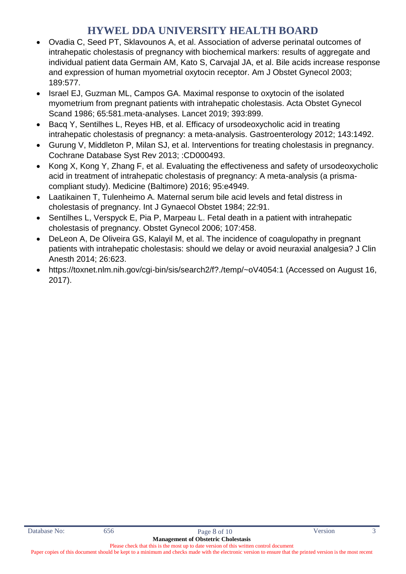- Ovadia C, Seed PT, Sklavounos A, et al. Association of adverse perinatal outcomes of intrahepatic cholestasis of pregnancy with biochemical markers: results of aggregate and individual patient data Germain AM, Kato S, Carvajal JA, et al. Bile acids increase response and expression of human myometrial oxytocin receptor. Am J Obstet Gynecol 2003; 189:577.
- Israel EJ, Guzman ML, Campos GA, Maximal response to oxytocin of the isolated myometrium from pregnant patients with intrahepatic cholestasis. Acta Obstet Gynecol Scand 1986; 65:581.meta-analyses. Lancet 2019; 393:899.
- Bacq Y, Sentilhes L, Reyes HB, et al. Efficacy of ursodeoxycholic acid in treating intrahepatic cholestasis of pregnancy: a meta-analysis. Gastroenterology 2012; 143:1492.
- Gurung V, Middleton P, Milan SJ, et al. Interventions for treating cholestasis in pregnancy. Cochrane Database Syst Rev 2013; :CD000493.
- Kong X, Kong Y, Zhang F, et al. Evaluating the effectiveness and safety of ursodeoxycholic acid in treatment of intrahepatic cholestasis of pregnancy: A meta-analysis (a prismacompliant study). Medicine (Baltimore) 2016; 95:e4949.
- Laatikainen T, Tulenheimo A. Maternal serum bile acid levels and fetal distress in cholestasis of pregnancy. Int J Gynaecol Obstet 1984; 22:91.
- Sentilhes L, Verspyck E, Pia P, Marpeau L. Fetal death in a patient with intrahepatic cholestasis of pregnancy. Obstet Gynecol 2006; 107:458.
- DeLeon A, De Oliveira GS, Kalayil M, et al. The incidence of coagulopathy in pregnant patients with intrahepatic cholestasis: should we delay or avoid neuraxial analgesia? J Clin Anesth 2014; 26:623.
- https://toxnet.nlm.nih.gov/cgi-bin/sis/search2/f?./temp/~oV4054:1 (Accessed on August 16, 2017).

Paper copies of this document should be kept to a minimum and checks made with the electronic version to ensure that the printed version is the most recent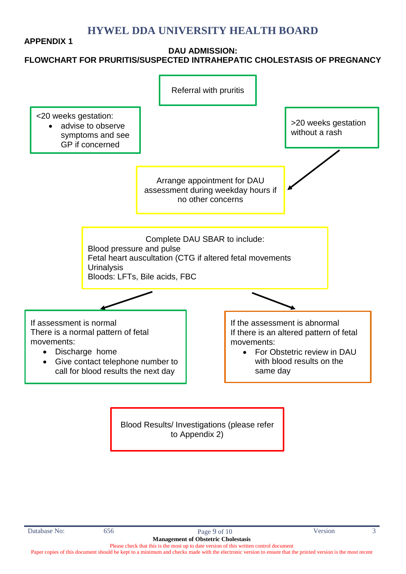#### **APPENDIX 1**

#### **DAU ADMISSION: FLOWCHART FOR PRURITIS/SUSPECTED INTRAHEPATIC CHOLESTASIS OF PREGNANCY**



Blood Results/ Investigations (please refer to Appendix 2)